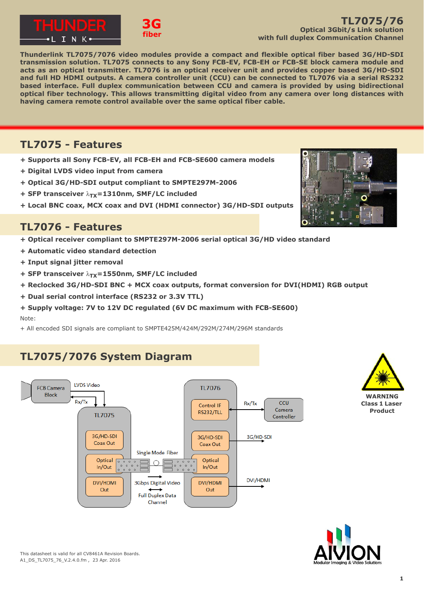



**Thunderlink TL7075/7076 video modules provide a compact and flexible optical fiber based 3G/HD-SDI transmission solution. TL7075 connects to any Sony FCB-EV, FCB-EH or FCB-SE block camera module and acts as an optical transmitter. TL7076 is an optical receiver unit and provides copper based 3G/HD-SDI and full HD HDMI outputs. A camera controller unit (CCU) can be connected to TL7076 via a serial RS232 based interface. Full duplex communication between CCU and camera is provided by using bidirectional optical fiber technology. This allows transmitting digital video from any camera over long distances with having camera remote control available over the same optical fiber cable.**

### **TL7075 - Features**

**+ Supports all Sony FCB-EV, all FCB-EH and FCB-SE600 camera models**

**3G fiber**

- **+ Digital LVDS video input from camera**
- **+ Optical 3G/HD-SDI output compliant to SMPTE297M-2006**
- **+ SFP transceiver**  $λ$ **<sub>TY</sub>=1310nm, SMF/LC included**
- **+ Local BNC coax, MCX coax and DVI (HDMI connector) 3G/HD-SDI outputs**

### **TL7076 - Features**

- **+ Optical receiver compliant to SMPTE297M-2006 serial optical 3G/HD video standard**
- **+ Automatic video standard detection**
- **+ Input signal jitter removal**
- **+ SFP transceiver**  $λ$ **<sub>TX</sub>=1550nm, SMF/LC included**
- **+ Reclocked 3G/HD-SDI BNC + MCX coax outputs, format conversion for DVI(HDMI) RGB output**
- **+ Dual serial control interface (RS232 or 3.3V TTL)**
- **+ Supply voltage: 7V to 12V DC regulated (6V DC maximum with FCB-SE600)** Note:
- + All encoded SDI signals are compliant to SMPTE425M/424M/292M/274M/296M standards

# **TL7075/7076 System Diagram**







This datasheet is valid for all CV8461A Revision Boards. A1\_DS\_TL7075\_76\_V.2.4.0.fm , 23 Apr. 2016

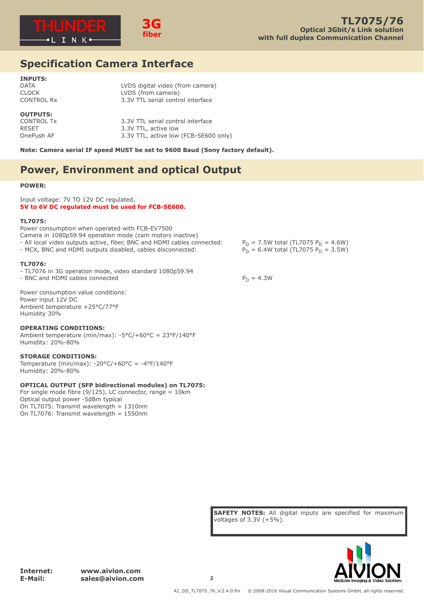



## **Specification Camera Interface**

#### **INPUTS:** DATA LVDS digital video (from camera) CLOCK LVDS (from camera) CONTROL Rx 3.3V TTL serial control interface

### **OUTPUTS:**

CONTROL Tx 3.3V TTL serial control interface<br>RESET 3.3V TTL, active low 3.3V TTL, active low OnePush AF 3.3V TTL, active low (FCB-SE600 only)

**Note: Camera serial IF speed MUST be set to 9600 Baud (Sony factory default).**

## **Power, Environment and optical Output**

#### **POWER:**

Input voltage: 7V TO 12V DC regulated, **5V to 6V DC regulated must be used for FCB-SE600.**

#### **TL7075:**

Power consumption when operated with FCB-EV7500 Camera in 1080p59.94 operation mode (cam motors inactive) - All local video outputs active, fiber, BNC and HDMI cables connected:  $P_D = 7.5W$  total (TL7075  $P_D = 4.6W$ )<br>- MCX, BNC and HDMI outputs disabled, cables disconnected:  $P_D = 6.4W$  total (TL7075  $P_D = 3.5W$ ) - MCX, BNC and HDMI outputs disabled, cables disconnected:

#### **TL7076:**

- TL7076 in 3G operation mode, video standard 1080p59.94

- BNC and HDMI cables connected  $P_D = 4.3W$ 

Power consumption value conditions: Power input 12V DC Ambient temperature +25°C/77°F Humidity 30%

#### **OPERATING CONDITIONS:**

Ambient temperature (min/max): -5°C/+60°C = 23°F/140°F Humidity: 20%-80%

#### **STORAGE CONDITIONS:**

Temperature (min/max): -20°C/+60°C = -4°F/140°F Humidity: 20%-80%

#### **OPTICAL OUTPUT (SFP bidirectional modules) on TL7075:**

For single mode fibre (9/125), LC connector, range =  $10 \text{km}$ Optical output power -5dBm typical On TL7075: Transmit wavelength = 1310nm On TL7076: Transmit wavelength = 1550nm

**SAFETY NOTES:** All digital inputs are specified for maximum voltages of 3.3V (+5%).

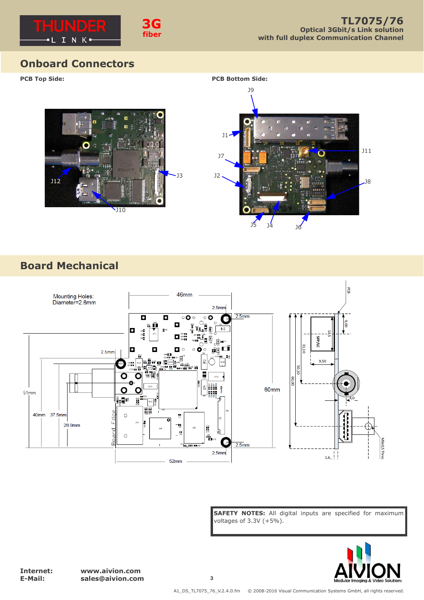

## **Onboard Connectors**

**PCB Top Side:**





# **Board Mechanical**



**SAFETY NOTES:** All digital inputs are specified for maximum voltages of 3.3V (+5%).



**Internet: www.aivion.com E-Mail: sales@aivion.com 3**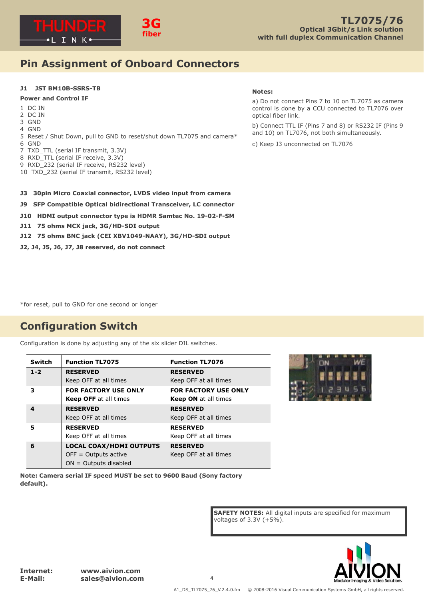

# **Pin Assignment of Onboard Connectors**

### **J1 JST BM10B-SSRS-TB**

### **Power and Control IF**

- 1 DC IN
- 2 DC IN
- 3 GND
- 4 GND
- 5 Reset / Shut Down, pull to GND to reset/shut down TL7075 and camera\*
- 6 GND
- 7 TXD\_TTL (serial IF transmit, 3.3V)
- 8 RXD TTL (serial IF receive, 3.3V)
- 9 RXD\_232 (serial IF receive, RS232 level)
- 10 TXD\_232 (serial IF transmit, RS232 level)

#### **Notes:**

a) Do not connect Pins 7 to 10 on TL7075 as camera control is done by a CCU connected to TL7076 over optical fiber link.

b) Connect TTL IF (Pins 7 and 8) or RS232 IF (Pins 9 and 10) on TL7076, not both simultaneously.

c) Keep J3 unconnected on TL7076

- **J3 30pin Micro Coaxial connector, LVDS video input from camera**
- **J9 SFP Compatible Optical bidirectional Transceiver, LC connector**
- **J10 HDMI output connector type is HDMR Samtec No. 19-02-F-SM**
- **J11 75 ohms MCX jack, 3G/HD-SDI output**
- **J12 75 ohms BNC jack (CEI XBV1049-NAAY), 3G/HD-SDI output**
- **J2, J4, J5, J6, J7, J8 reserved, do not connect**

\*for reset, pull to GND for one second or longer

## **Configuration Switch**

Configuration is done by adjusting any of the six slider DIL switches.

| <b>Switch</b> | <b>Function TL7075</b>         | <b>Function TL7076</b>      |
|---------------|--------------------------------|-----------------------------|
| $1 - 2$       | <b>RESERVED</b>                | <b>RESERVED</b>             |
|               | Keep OFF at all times          | Keep OFF at all times       |
| з             | <b>FOR FACTORY USE ONLY</b>    | <b>FOR FACTORY USE ONLY</b> |
|               | <b>Keep OFF</b> at all times   | <b>Keep ON</b> at all times |
| 4             | <b>RESERVED</b>                | <b>RESERVED</b>             |
|               | Keep OFF at all times          | Keep OFF at all times       |
| 5             | <b>RESERVED</b>                | <b>RESERVED</b>             |
|               | Keep OFF at all times          | Keep OFF at all times       |
| 6             | <b>LOCAL COAX/HDMI OUTPUTS</b> | <b>RESERVED</b>             |
|               | $OFF = Outputs$ active         | Keep OFF at all times       |
|               | $ON = Outputs$ disabled        |                             |



**Note: Camera serial IF speed MUST be set to 9600 Baud (Sony factory default).**

> **SAFETY NOTES:** All digital inputs are specified for maximum voltages of 3.3V (+5%).

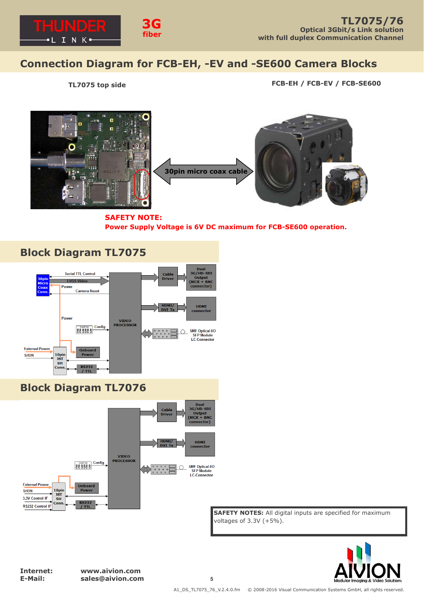

## **Connection Diagram for FCB-EH, -EV and -SE600 Camera Blocks**

 **TL7075 top side FCB-EH / FCB-EV / FCB-SE600**



**SAFETY NOTE: Power Supply Voltage is 6V DC maximum for FCB-SE600 operation.**





**SAFETY NOTES:** All digital inputs are specified for maximum voltages of 3.3V (+5%).



**Internet: www.aivion.com E-Mail: sales@aivion.com 5**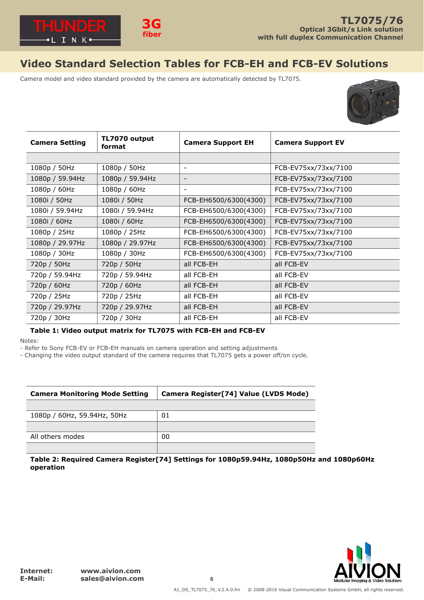

# **Video Standard Selection Tables for FCB-EH and FCB-EV Solutions**

Camera model and video standard provided by the camera are automatically detected by TL7075.



| <b>Camera Setting</b> | TL7070 output<br>format | <b>Camera Support EH</b> | <b>Camera Support EV</b> |
|-----------------------|-------------------------|--------------------------|--------------------------|
|                       |                         |                          |                          |
| 1080p / 50Hz          | 1080p / 50Hz            | $\overline{\phantom{a}}$ | FCB-EV75xx/73xx/7100     |
| 1080p / 59.94Hz       | 1080p / 59.94Hz         | $\overline{\phantom{a}}$ | FCB-EV75xx/73xx/7100     |
| 1080p / 60Hz          | 1080p / 60Hz            | $\overline{\phantom{a}}$ | FCB-EV75xx/73xx/7100     |
| 1080i / 50Hz          | 1080i / 50Hz            | FCB-EH6500/6300(4300)    | FCB-EV75xx/73xx/7100     |
| 1080i / 59.94Hz       | 1080i / 59.94Hz         | FCB-EH6500/6300(4300)    | FCB-EV75xx/73xx/7100     |
| 1080i / 60Hz          | 1080i / 60Hz            | FCB-EH6500/6300(4300)    | FCB-EV75xx/73xx/7100     |
| 1080p / 25Hz          | 1080p / 25Hz            | FCB-EH6500/6300(4300)    | FCB-EV75xx/73xx/7100     |
| 1080p / 29.97Hz       | 1080p / 29.97Hz         | FCB-EH6500/6300(4300)    | FCB-EV75xx/73xx/7100     |
| 1080p / 30Hz          | 1080p / 30Hz            | FCB-EH6500/6300(4300)    | FCB-EV75xx/73xx/7100     |
| 720p / 50Hz           | 720p / 50Hz             | all FCB-EH               | all FCB-EV               |
| 720p / 59.94Hz        | 720p / 59.94Hz          | all FCB-EH               | all FCB-EV               |
| 720p / 60Hz           | 720p / 60Hz             | all FCB-EH               | all FCB-EV               |
| 720p / 25Hz           | 720p / 25Hz             | all FCB-EH               | all FCB-EV               |
| 720p / 29.97Hz        | 720p / 29.97Hz          | all FCB-EH               | all FCB-EV               |
| 720p / 30Hz           | 720p / 30Hz             | all FCB-EH               | all FCB-EV               |

### **Table 1: Video output matrix for TL7075 with FCB-EH and FCB-EV**

Notes:

- Refer to Sony FCB-EV or FCB-EH manuals on camera operation and setting adjustments

- Changing the video output standard of the camera requires that TL7075 gets a power off/on cycle.

| <b>Camera Monitoring Mode Setting</b> | Camera Register[74] Value (LVDS Mode) |  |
|---------------------------------------|---------------------------------------|--|
|                                       |                                       |  |
| 1080p / 60Hz, 59.94Hz, 50Hz           | 01                                    |  |
|                                       |                                       |  |
| All others modes                      | 00                                    |  |
|                                       |                                       |  |

**Table 2: Required Camera Register[74] Settings for 1080p59.94Hz, 1080p50Hz and 1080p60Hz operation**

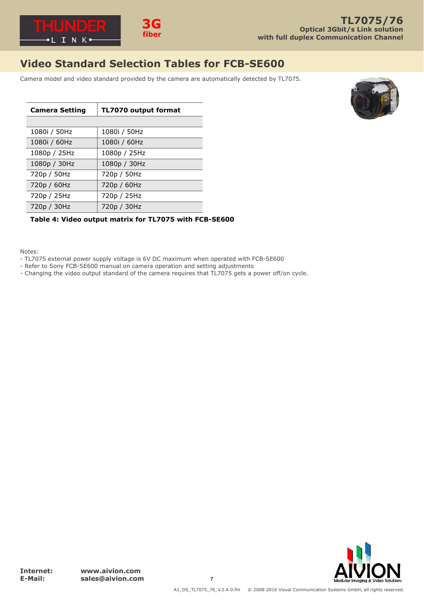

# **Video Standard Selection Tables for FCB-SE600**

Camera model and video standard provided by the camera are automatically detected by TL7075.



| <b>Camera Setting</b> | TL7070 output format |  |
|-----------------------|----------------------|--|
|                       |                      |  |
| 1080i / 50Hz          | 1080i / 50Hz         |  |
| 1080i / 60Hz          | 1080i / 60Hz         |  |
| 1080p / 25Hz          | 1080p / 25Hz         |  |
| 1080p / 30Hz          | 1080p / 30Hz         |  |
| 720p / 50Hz           | 720p / 50Hz          |  |
| 720p / 60Hz           | 720p / 60Hz          |  |
| 720p / 25Hz           | 720p / 25Hz          |  |
| 720p / 30Hz           | 720p / 30Hz          |  |

### **Table 4: Video output matrix for TL7075 with FCB-SE600**

Notes:

- TL7075 external power supply voltage is 6V DC maximum when operated with FCB-SE600
- Refer to Sony FCB-SE600 manual on camera operation and setting adjustments
- Changing the video output standard of the camera requires that TL7075 gets a power off/on cycle.